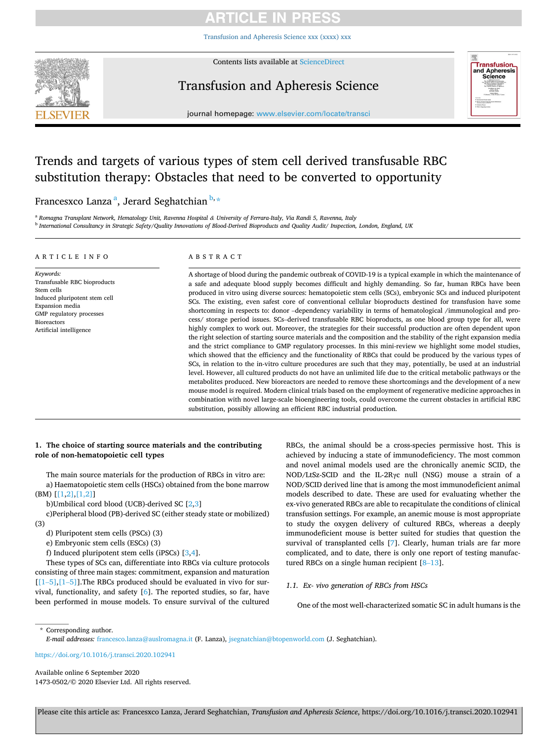# **ARTICLE IN PRESS**

[Transfusion and Apheresis Science xxx \(xxxx\) xxx](https://doi.org/10.1016/j.transci.2020.102941)



Contents lists available at [ScienceDirect](www.sciencedirect.com/science/journal/14730502)

## Transfusion and Apheresis Science



journal homepage: [www.elsevier.com/locate/transci](https://www.elsevier.com/locate/transci) 

# Trends and targets of various types of stem cell derived transfusable RBC substitution therapy: Obstacles that need to be converted to opportunity

Francesxco Lanza <sup>a</sup>, Jerard Seghatchian <sup>b,</sup>\*

<sup>a</sup> *Romagna Transplant Network, Hematology Unit, Ravenna Hospital & University of Ferrara-Italy, Via Randi 5, Ravenna, Italy* <sup>b</sup> *International Consultancy in Strategic Safety/Quality Innovations of Blood-Derived Bioproducts and Quality Audit/ Inspection, London, England, UK* 

#### ARTICLE INFO

#### *Keywords:*  Transfusable RBC bioproducts Stem cells Induced pluripotent stem cell Expansion media GMP regulatory processes Bioreactors Artificial intelligence

### ABSTRACT

A shortage of blood during the pandemic outbreak of COVID-19 is a typical example in which the maintenance of a safe and adequate blood supply becomes difficult and highly demanding. So far, human RBCs have been produced in vitro using diverse sources: hematopoietic stem cells (SCs), embryonic SCs and induced pluripotent SCs. The existing, even safest core of conventional cellular bioproducts destined for transfusion have some shortcoming in respects to: donor –dependency variability in terms of hematological /immunological and process/ storage period issues. SCs–derived transfusable RBC bioproducts, as one blood group type for all, were highly complex to work out. Moreover, the strategies for their successful production are often dependent upon the right selection of starting source materials and the composition and the stability of the right expansion media and the strict compliance to GMP regulatory processes. In this mini-review we highlight some model studies, which showed that the efficiency and the functionality of RBCs that could be produced by the various types of SCs, in relation to the in-vitro culture procedures are such that they may, potentially, be used at an industrial level. However, all cultured products do not have an unlimited life due to the critical metabolic pathways or the metabolites produced. New bioreactors are needed to remove these shortcomings and the development of a new mouse model is required. Modern clinical trials based on the employment of regenerative medicine approaches in combination with novel large-scale bioengineering tools, could overcome the current obstacles in artificial RBC substitution, possibly allowing an efficient RBC industrial production.

## **1. The choice of starting source materials and the contributing role of non-hematopoietic cell types**

The main source materials for the production of RBCs in vitro are: a) Haematopoietic stem cells (HSCs) obtained from the bone marrow (BM) [\[\[1,2\],\[1,2\]](#page-3-0)]

b)Umbilical cord blood (UCB)-derived SC [[2](#page-3-0),[3](#page-3-0)]

c)Peripheral blood (PB)-derived SC (either steady state or mobilized) (3)

d) Pluripotent stem cells (PSCs) (3)

e) Embryonic stem cells (ESCs) (3)

f) Induced pluripotent stem cells (iPSCs) [\[3,4](#page-3-0)].

These types of SCs can, differentiate into RBCs via culture protocols consisting of three main stages: commitment, expansion and maturation  $[[1–5],[1–5]]$  $[[1–5],[1–5]]$  $[[1–5],[1–5]]$  $[[1–5],[1–5]]$ . The RBCs produced should be evaluated in vivo for survival, functionality, and safety [[6](#page-3-0)]. The reported studies, so far, have been performed in mouse models. To ensure survival of the cultured

RBCs, the animal should be a cross-species permissive host. This is achieved by inducing a state of immunodeficiency. The most common and novel animal models used are the chronically anemic SCID, the NOD/LtSz-SCID and the IL-2Rγc null (NSG) mouse a strain of a NOD/SCID derived line that is among the most immunodeficient animal models described to date. These are used for evaluating whether the ex-vivo generated RBCs are able to recapitulate the conditions of clinical transfusion settings. For example, an anemic mouse is most appropriate to study the oxygen delivery of cultured RBCs, whereas a deeply immunodeficient mouse is better suited for studies that question the survival of transplanted cells [\[7\]](#page-3-0). Clearly, human trials are far more complicated, and to date, there is only one report of testing manufactured RBCs on a single human recipient [8–[13](#page-3-0)].

### *1.1. Ex- vivo generation of RBCs from HSCs*

One of the most well-characterized somatic SC in adult humans is the

\* Corresponding author.

*E-mail addresses:* [francesco.lanza@auslromagna.it](mailto:francesco.lanza@auslromagna.it) (F. Lanza), [jsegnatchian@btopenworld.com](mailto:jsegnatchian@btopenworld.com) (J. Seghatchian).

<https://doi.org/10.1016/j.transci.2020.102941>

Available online 6 September 2020 1473-0502/© 2020 Elsevier Ltd. All rights reserved.

Please cite this article as: Francesxco Lanza, Jerard Seghatchian, *Transfusion and Apheresis Science*, https://doi.org/10.1016/j.transci.2020.102941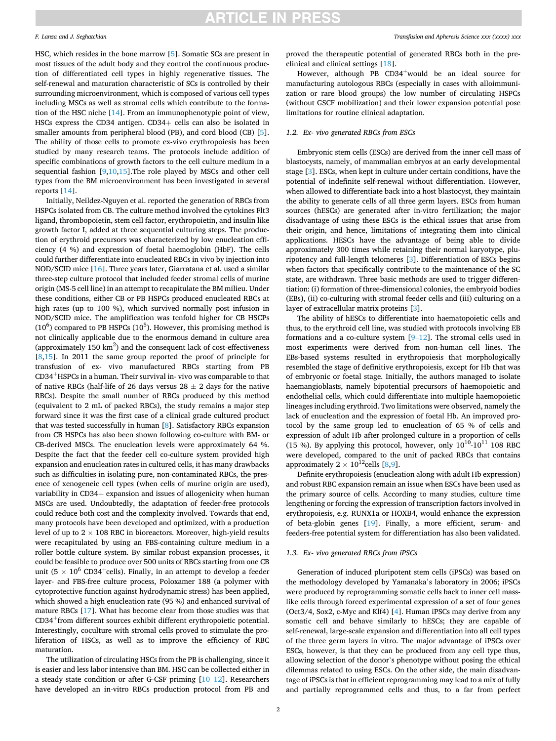### *F. Lanza and J. Seghatchian*

HSC, which resides in the bone marrow [[5](#page-3-0)]. Somatic SCs are present in most tissues of the adult body and they control the continuous production of differentiated cell types in highly regenerative tissues. The self-renewal and maturation characteristic of SCs is controlled by their surrounding microenvironment, which is composed of various cell types including MSCs as well as stromal cells which contribute to the formation of the HSC niche [\[14](#page-3-0)]. From an immunophenotypic point of view, HSCs express the CD34 antigen. CD34+ cells can also be isolated in smaller amounts from peripheral blood (PB), and cord blood (CB) [[5](#page-3-0)]. The ability of those cells to promote ex-vivo erythropoiesis has been studied by many research teams. The protocols include addition of specific combinations of growth factors to the cell culture medium in a sequential fashion [[9,10,15](#page-3-0)].The role played by MSCs and other cell types from the BM microenvironment has been investigated in several reports [\[14](#page-3-0)].

Initially, Neildez-Nguyen et al. reported the generation of RBCs from HSPCs isolated from CB. The culture method involved the cytokines Flt3 ligand, thrombopoietin, stem cell factor, erythropoietin, and insulin like growth factor I, added at three sequential culturing steps. The production of erythroid precursors was characterized by low enucleation efficiency (4 %) and expression of foetal haemoglobin (HbF). The cells could further differentiate into enucleated RBCs in vivo by injection into NOD/SCID mice [\[16](#page-3-0)]. Three years later, Giarratana et al. used a similar three-step culture protocol that included feeder stromal cells of murine origin (MS-5 cell line) in an attempt to recapitulate the BM milieu. Under these conditions, either CB or PB HSPCs produced enucleated RBCs at high rates (up to 100 %), which survived normally post infusion in NOD/SCID mice. The amplification was tenfold higher for CB HSCPs  $(10^6)$  compared to PB HSPCs  $(10^5)$ . However, this promising method is not clinically applicable due to the enormous demand in culture area (approximately  $150 \text{ km}^2$ ) and the consequent lack of cost-effectiveness  $[8,15]$  $[8,15]$  $[8,15]$  $[8,15]$ . In 2011 the same group reported the proof of principle for transfusion of ex- vivo manufactured RBCs starting from PB CD34+HSPCs in a human. Their survival in- vivo was comparable to that of native RBCs (half-life of 26 days versus  $28 \pm 2$  days for the native RBCs). Despite the small number of RBCs produced by this method (equivalent to 2 mL of packed RBCs), the study remains a major step forward since it was the first case of a clinical grade cultured product that was tested successfully in human [[8](#page-3-0)]. Satisfactory RBCs expansion from CB HSPCs has also been shown following co-culture with BM- or CB-derived MSCs. The enucleation levels were approximately 64 %. Despite the fact that the feeder cell co-culture system provided high expansion and enucleation rates in cultured cells, it has many drawbacks such as difficulties in isolating pure, non-contaminated RBCs, the presence of xenogeneic cell types (when cells of murine origin are used), variability in CD34+ expansion and issues of allogenicity when human MSCs are used. Undoubtedly, the adaptation of feeder-free protocols could reduce both cost and the complexity involved. Towards that end, many protocols have been developed and optimized, with a production level of up to  $2 \times 108$  RBC in bioreactors. Moreover, high-yield results were recapitulated by using an FBS-containing culture medium in a roller bottle culture system. By similar robust expansion processes, it could be feasible to produce over 500 units of RBCs starting from one CB unit (5  $\times$  10<sup>6</sup> CD34<sup>+</sup>cells). Finally, in an attempt to develop a feeder layer- and FBS-free culture process, Poloxamer 188 (a polymer with cytoprotective function against hydrodynamic stress) has been applied, which showed a high enucleation rate (95 %) and enhanced survival of mature RBCs [\[17](#page-3-0)]. What has become clear from those studies was that CD34+from different sources exhibit different erythropoietic potential. Interestingly, coculture with stromal cells proved to stimulate the proliferation of HSCs, as well as to improve the efficiency of RBC maturation.

The utilization of circulating HSCs from the PB is challenging, since it is easier and less labor intensive than BM. HSC can be collected either in a steady state condition or after G-CSF priming [\[10](#page-3-0)–12]. Researchers have developed an in-vitro RBCs production protocol from PB and

proved the therapeutic potential of generated RBCs both in the preclinical and clinical settings [[18](#page-3-0)].

However, although PB CD34<sup>+</sup>would be an ideal source for manufacturing autologous RBCs (especially in cases with alloimmunization or rare blood groups) the low number of circulating HSPCs (without GSCF mobilization) and their lower expansion potential pose limitations for routine clinical adaptation.

#### *1.2. Ex- vivo generated RBCs from ESCs*

Embryonic stem cells (ESCs) are derived from the inner cell mass of blastocysts, namely, of mammalian embryos at an early developmental stage [\[3](#page-3-0)]. ESCs, when kept in culture under certain conditions, have the potential of indefinite self-renewal without differentiation. However, when allowed to differentiate back into a host blastocyst, they maintain the ability to generate cells of all three germ layers. ESCs from human sources (hESCs) are generated after in-vitro fertilization; the major disadvantage of using these ESCs is the ethical issues that arise from their origin, and hence, limitations of integrating them into clinical applications. HESCs have the advantage of being able to divide approximately 300 times while retaining their normal karyotype, pluripotency and full-length telomeres [\[3\]](#page-3-0). Differentiation of ESCs begins when factors that specifically contribute to the maintenance of the SC state, are withdrawn. Three basic methods are used to trigger differentiation: (i) formation of three-dimensional colonies, the embryoid bodies (EBs), (ii) co-culturing with stromal feeder cells and (iii) culturing on a layer of extracellular matrix proteins [[3](#page-3-0)].

The ability of hESCs to differentiate into haematopoietic cells and thus, to the erythroid cell line, was studied with protocols involving EB formations and a co-culture system  $[9-12]$  $[9-12]$ . The stromal cells used in most experiments were derived from non-human cell lines. The EBs-based systems resulted in erythropoiesis that morphologically resembled the stage of definitive erythropoiesis, except for Hb that was of embryonic or foetal stage. Initially, the authors managed to isolate haemangioblasts, namely bipotential precursors of haemopoietic and endothelial cells, which could differentiate into multiple haemopoietic lineages including erythroid. Two limitations were observed, namely the lack of enucleation and the expression of foetal Hb. An improved protocol by the same group led to enucleation of 65 % of cells and expression of adult Hb after prolonged culture in a proportion of cells (15 %). By applying this protocol, however, only  $10^{10}$ - $10^{11}$  108 RBC were developed, compared to the unit of packed RBCs that contains approximately  $2 \times 10^{12}$ cells [\[8,9](#page-3-0)].

Definite erythropoiesis (enucleation along with adult Hb expression) and robust RBC expansion remain an issue when ESCs have been used as the primary source of cells. According to many studies, culture time lengthening or forcing the expression of transcription factors involved in erythropoiesis, e.g. RUNX1a or HOXB4, would enhance the expression of beta-globin genes [\[19](#page-3-0)]. Finally, a more efficient, serum- and feeders-free potential system for differentiation has also been validated.

### *1.3. Ex- vivo generated RBCs from iPSCs*

Generation of induced pluripotent stem cells (iPSCs) was based on the methodology developed by Yamanaka's laboratory in 2006; iPSCs were produced by reprogramming somatic cells back to inner cell masslike cells through forced experimental expression of a set of four genes (Oct3/4, Sox2, c-Myc and Klf4) [\[4\]](#page-3-0). Human iPSCs may derive from any somatic cell and behave similarly to hESCs; they are capable of self-renewal, large-scale expansion and differentiation into all cell types of the three germ layers in vitro. The major advantage of iPSCs over ESCs, however, is that they can be produced from any cell type thus, allowing selection of the donor's phenotype without posing the ethical dilemmas related to using ESCs. On the other side, the main disadvantage of iPSCs is that in efficient reprogramming may lead to a mix of fully and partially reprogrammed cells and thus, to a far from perfect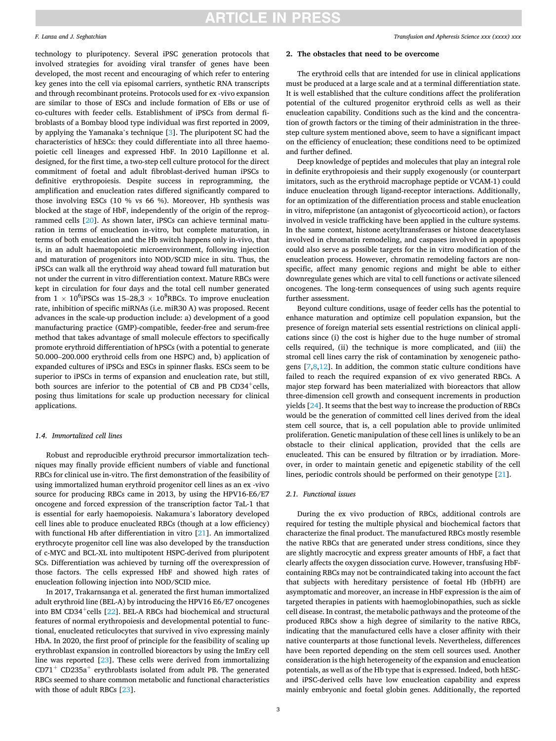## **ARTICLE IN PRESS**

#### *F. Lanza and J. Seghatchian*

technology to pluripotency. Several iPSC generation protocols that involved strategies for avoiding viral transfer of genes have been developed, the most recent and encouraging of which refer to entering key genes into the cell via episomal carriers, synthetic RNA transcripts and through recombinant proteins. Protocols used for ex -vivo expansion are similar to those of ESCs and include formation of EBs or use of co-cultures with feeder cells. Establishment of iPSCs from dermal fibroblasts of a Bombay blood type individual was first reported in 2009, by applying the Yamanaka's technique [[3](#page-3-0)]. The pluripotent SC had the characteristics of hESCs: they could differentiate into all three haemopoietic cell lineages and expressed HbF. In 2010 Lapillonne et al. designed, for the first time, a two-step cell culture protocol for the direct commitment of foetal and adult fibroblast-derived human iPSCs to definitive erythropoiesis. Despite success in reprogramming, the amplification and enucleation rates differed significantly compared to those involving ESCs (10 % vs 66 %). Moreover, Hb synthesis was blocked at the stage of HbF, independently of the origin of the reprogrammed cells [[20\]](#page-3-0). As shown later, iPSCs can achieve terminal maturation in terms of enucleation in-vitro, but complete maturation, in terms of both enucleation and the Hb switch happens only in-vivo, that is, in an adult haematopoietic microenvironment, following injection and maturation of progenitors into NOD/SCID mice in situ. Thus, the iPSCs can walk all the erythroid way ahead toward full maturation but not under the current in vitro differentiation context. Mature RBCs were kept in circulation for four days and the total cell number generated from  $1 \times 10^6$ iPSCs was  $15-28,3 \times 10^8$ RBCs. To improve enucleation rate, inhibition of specific miRNAs (i.e. miR30 A) was proposed. Recent advances in the scale-up production include: a) development of a good manufacturing practice (GMP)-compatible, feeder-free and serum-free method that takes advantage of small molecule effectors to specifically promote erythroid differentiation of hPSCs (with a potential to generate 50.000–200.000 erythroid cells from one HSPC) and, b) application of expanded cultures of iPSCs and ESCs in spinner flasks. ESCs seem to be superior to iPSCs in terms of expansion and enucleation rate, but still, both sources are inferior to the potential of CB and PB  $CD34^+$ cells, posing thus limitations for scale up production necessary for clinical applications.

#### *1.4. Immortalized cell lines*

Robust and reproducible erythroid precursor immortalization techniques may finally provide efficient numbers of viable and functional RBCs for clinical use in-vitro. The first demonstration of the feasibility of using immortalized human erythroid progenitor cell lines as an ex -vivo source for producing RBCs came in 2013, by using the HPV16-E6/E7 oncogene and forced expression of the transcription factor TaL-1 that is essential for early haemopoiesis. Nakamura's laboratory developed cell lines able to produce enucleated RBCs (though at a low efficiency) with functional Hb after differentiation in vitro [\[21\]](#page-3-0). An immortalized erythrocyte progenitor cell line was also developed by the transduction of c-MYC and BCL-XL into multipotent HSPC-derived from pluripotent SCs. Differentiation was achieved by turning off the overexpression of those factors. The cells expressed HbF and showed high rates of enucleation following injection into NOD/SCID mice.

In 2017, Trakarnsanga et al. generated the first human immortalized adult erythroid line (BEL-A) by introducing the HPV16 E6/E7 oncogenes into BM CD34<sup>+</sup>cells  $[22]$  $[22]$ . BEL-A RBCs had biochemical and structural features of normal erythropoiesis and developmental potential to functional, enucleated reticulocytes that survived in vivo expressing mainly HbA. In 2020, the first proof of principle for the feasibility of scaling up erythroblast expansion in controlled bioreactors by using the ImEry cell line was reported [[23\]](#page-3-0). These cells were derived from immortalizing  $CD71<sup>+</sup> CD235a<sup>+</sup>$  erythroblasts isolated from adult PB. The generated RBCs seemed to share common metabolic and functional characteristics with those of adult RBCs [[23\]](#page-3-0).

#### **2. The obstacles that need to be overcome**

The erythroid cells that are intended for use in clinical applications must be produced at a large scale and at a terminal differentiation state. It is well established that the culture conditions affect the proliferation potential of the cultured progenitor erythroid cells as well as their enucleation capability. Conditions such as the kind and the concentration of growth factors or the timing of their administration in the threestep culture system mentioned above, seem to have a significant impact on the efficiency of enucleation; these conditions need to be optimized and further defined.

Deep knowledge of peptides and molecules that play an integral role in definite erythropoiesis and their supply exogenously (or counterpart imitators, such as the erythroid macrophage peptide or VCAM-1) could induce enucleation through ligand-receptor interactions. Additionally, for an optimization of the differentiation process and stable enucleation in vitro, mifepristone (an antagonist of glycocorticoid action), or factors involved in vesicle trafficking have been applied in the culture systems. In the same context, histone acetyltransferases or histone deacetylases involved in chromatin remodeling, and caspases involved in apoptosis could also serve as possible targets for the in vitro modification of the enucleation process. However, chromatin remodeling factors are nonspecific, affect many genomic regions and might be able to either downregulate genes which are vital to cell functions or activate silenced oncogenes. The long-term consequences of using such agents require further assessment.

Beyond culture conditions, usage of feeder cells has the potential to enhance maturation and optimize cell population expansion, but the presence of foreign material sets essential restrictions on clinical applications since (i) the cost is higher due to the huge number of stromal cells required, (ii) the technique is more complicated, and (iii) the stromal cell lines carry the risk of contamination by xenogeneic pathogens  $[7,8,12]$  $[7,8,12]$  $[7,8,12]$ . In addition, the common static culture conditions have failed to reach the required expansion of ex vivo generated RBCs. A major step forward has been materialized with bioreactors that allow three-dimension cell growth and consequent increments in production yields [\[24](#page-3-0)]. It seems that the best way to increase the production of RBCs would be the generation of committed cell lines derived from the ideal stem cell source, that is, a cell population able to provide unlimited proliferation. Genetic manipulation of these cell lines is unlikely to be an obstacle to their clinical application, provided that the cells are enucleated. This can be ensured by filtration or by irradiation. Moreover, in order to maintain genetic and epigenetic stability of the cell lines, periodic controls should be performed on their genotype [[21\]](#page-3-0).

### *2.1. Functional issues*

During the ex vivo production of RBCs, additional controls are required for testing the multiple physical and biochemical factors that characterize the final product. The manufactured RBCs mostly resemble the native RBCs that are generated under stress conditions, since they are slightly macrocytic and express greater amounts of HbF, a fact that clearly affects the oxygen dissociation curve. However, transfusing HbFcontaining RBCs may not be contraindicated taking into account the fact that subjects with hereditary persistence of foetal Hb (HbFH) are asymptomatic and moreover, an increase in HbF expression is the aim of targeted therapies in patients with haemoglobinopathies, such as sickle cell disease. In contrast, the metabolic pathways and the proteome of the produced RBCs show a high degree of similarity to the native RBCs, indicating that the manufactured cells have a closer affinity with their native counterparts at those functional levels. Nevertheless, differences have been reported depending on the stem cell sources used. Another consideration is the high heterogeneity of the expansion and enucleation potentials, as well as of the Hb type that is expressed. Indeed, both hESCand iPSC-derived cells have low enucleation capability and express mainly embryonic and foetal globin genes. Additionally, the reported